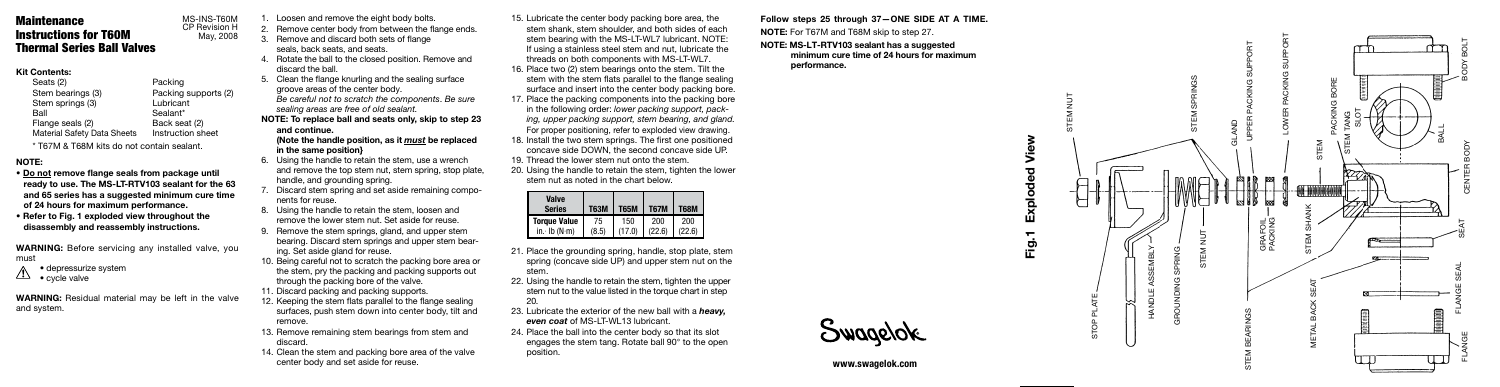STOP PLATE

STEM NUT



### Kit Contents:

Seats (2) <br>Stem bearings (3) Packing Packing supports (2) Stem springs (3) Lubricant Ball Sealant\*<br>Flange seals (2) Back seat (2) Flange seals (2) Material Safety Data Sheets Instruction sheet

\* T67M & T68M kits do not contain sealant.

## NOTE:

- Do not remove flange seals from package until ready to use. The MS-LT-RTV103 sealant for the 63 and 65 series has a suggested minimum cure time of 24 hours for maximum performance.
- Refer to Fig. 1 exploded view throughout the disassembly and reassembly instructions.

WARNING: Before servicing any installed valve, you must

• depressurize system

 $\sqrt{1}$  • cycle valve

WARNING: Residual material may be left in the valve and system.

seals, back seats, and seats.

- 4. Rotate the ball to the closed position. Remove and discard the ball.
- 5. Clean the flange knurling and the sealing surface groove areas of the center body. *Be careful not to scratch the components* . *Be sure sealing areas are free of old sealant.*
- NOTE: To replace ball and seats only, skip to step 23 and continue. (Note the handle position, as it *must* be replaced

in the same position}

- Loosen and remove the eight body bolts. 2. Remove center body from between the flange ends. MS-INS-T60M CP Revision H
	- Remove and discard both sets of flange May, 2008

- 6. Using the handle to retain the stem, use a wrench and remove the top stem nut, stem spring, stop plate, handle, and grounding spring.
- 7. Discard stem spring and set aside remaining compo nents for reuse.
- 8. Using the handle to retain the stem, loosen and remove the lower stem nut. Set aside for reuse.
- 9. Remove the stem springs, gland, and upper stem bearing. Discard stem springs and upper stem bear ing. Set aside gland for reuse.
- 10. Being careful not to scratch the packing bore area or the stem, pry the packing and packing supports out through the packing bore of the valve.
- 11. Discard packing and packing supports.
	- 12. Keeping the stem flats parallel to the flange sealing surfaces, push stem down into center body, tilt and remove.
	- 13. Remove remaining stem bearings from stem and discard.
	- 14. Clean the stem and packing bore area of the valve center body and set aside for reuse.
- 15. Lubricate the center body packing bore area, the stem shank, stem shoulder, and both sides of each stem bearing with the MS-LT-WL7 lubricant. NOTE: If using a stainless steel stem and nut, lubricate the threads on both components with MS-LT-WL7.
- 16. Place two (2) stem bearings onto the stem. Tilt the stem with the stem flats parallel to the flange sealing surface and insert into the center body packing bore.
- 17. Place the packing components into the packing bore in the following order: *lower packing support, packing, upper packing support, stem bearing, and gland.* For proper positioning, refer to exploded view drawing.
- 18. Install the two stem springs. The first one positioned concave side DOWN, the second concave side UP.
- 19. Thread the lower stem nut onto the stem.
- 20. Using the handle to retain the stem, tighten the lower stem nut as noted in the chart below.

- 21. Place the grounding spring, handle, stop plate, stem spring (concave side UP) and upper stem nut on the stem.
- 22. Using the handle to retain the stem, tighten the upper stem nut to the value listed in the torque chart in step 20.
- 23. Lubricate the exterior of the new ball with a *heavy,* **even coat of MS-LT-WL13 lubricant.**
- 24. Place the ball into the center body so that its slot engages the stem tang. Rotate ball 90° to the open position.

Follow steps 25 through 37—ONE SIDE AT A TIME. NOTE: For T67M and T68M skip to step 27.

#### NOTE: MS-LT-RTV103 sealant has a suggested minimum cure time of 24 hours for maximum performance.

www.swagelok.com

*10/00/07* 

# Maintenance Instructions for T60M Thermal Series Ball Valves

| Valve<br><b>Series</b> | <b>T63M</b> | <b>T65M</b> | <b>T67M</b> | <b>T68M</b> |
|------------------------|-------------|-------------|-------------|-------------|
| <b>Torque Value</b>    | 75          | 150         | 200         | 200         |
| $in.$ Ib $(N·m)$       | (8.5)       | '17 በነ      | (22.6)      | (22.6)      |

Fig.1 Exploded View